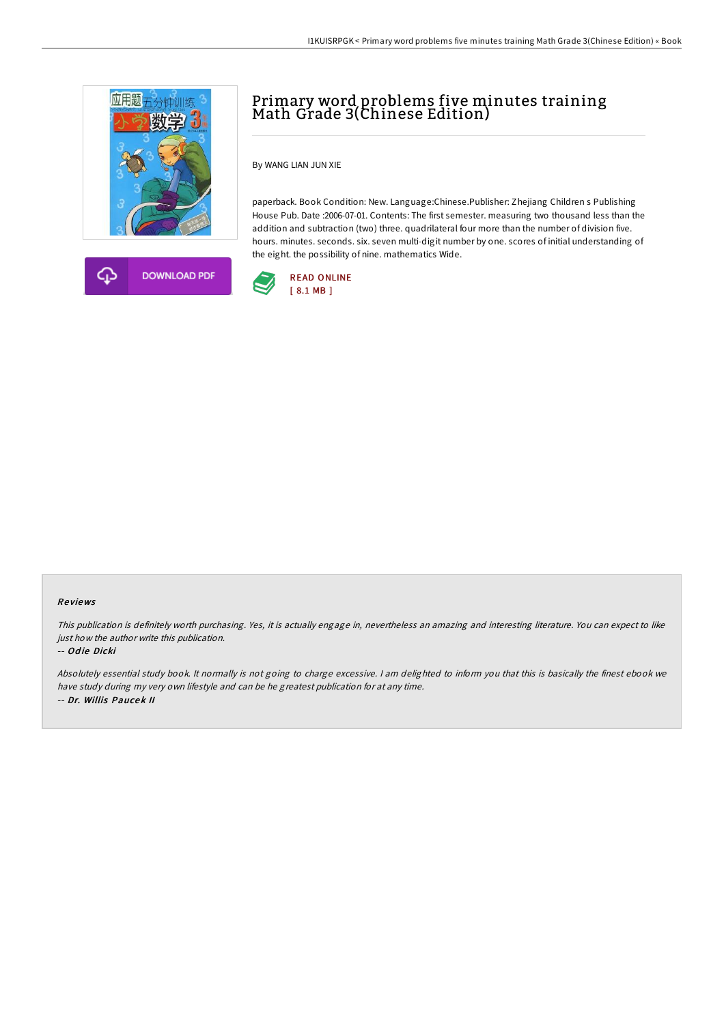



# Primary word problems five minutes training Math Grade 3(Chinese Edition)

By WANG LIAN JUN XIE

paperback. Book Condition: New. Language:Chinese.Publisher: Zhejiang Children s Publishing House Pub. Date :2006-07-01. Contents: The first semester. measuring two thousand less than the addition and subtraction (two) three. quadrilateral four more than the number of division five. hours. minutes. seconds. six. seven multi-digit number by one. scores of initial understanding of the eight. the possibility of nine. mathematics Wide.



#### Re views

This publication is definitely worth purchasing. Yes, it is actually engage in, nevertheless an amazing and interesting literature. You can expect to like just how the author write this publication.

#### -- Odie Dicki

Absolutely essential study book. It normally is not going to charge excessive. <sup>I</sup> am delighted to inform you that this is basically the finest ebook we have study during my very own lifestyle and can be he greatest publication for at any time. -- Dr. Willis Paucek II